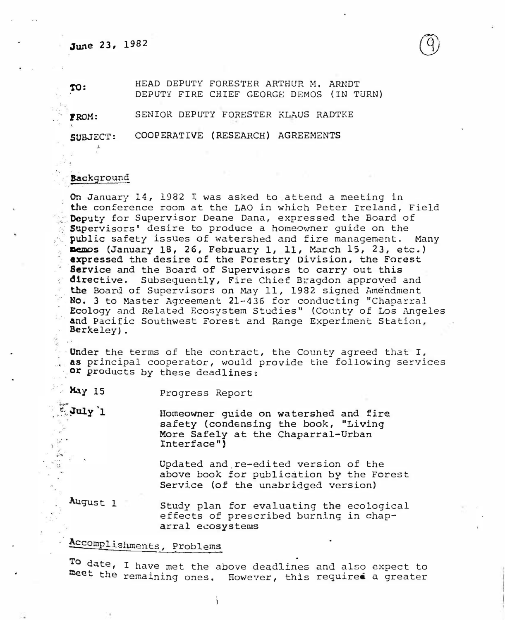## June 23, 1982

TO: HEAD DEPUTY FORESTER ARTHUR H. ARNDT DEPUTY FIRE CHIEF GEORGE DEMOS (IN TURN)

FROM: SENIOR DEPUTY FORESTER KLAUS RADTKE

SUBJECT: COOPERATIVE (RESEARCH) AGREEMENTS

## **Background**

. . · i,  $\ddot{\phantom{a}}$ ... . .. ' . ��

July 1

On January 14, 1982 I was asked to attend a meeting in the conference room at the LAO in which Peter Ireland, Field Deputy for Supervisor Deane Dana, expressed the Board of Supervisors' desire to produce a homeowner quide on the public safety issues of watershed and fire management. Many memos (January 18, 26, February 1, 11, March 15, 23, etc.) expressed the desire of the Forestry Division, the Forest **Service and the Board of Supervisors to carry out this** directive. Subsequently, Fire Chief Bragdon approved and the Board of Supervisors on May 11, 1982 signed Amendment No. 3 to Master Agreement 21-436 for conducting "Chaparral . Ecology and Related Ecosystem Studies" (County of Los Angeles and Pacific Southwest Forest and Range Experiment Station, Berkeley) .

Under the terms of the contract, the County agreed that I, as principal cooperator, would provide the following services or products by these deadlines:

May 15 Progress Report

Homeowner guide on watershed and fire safety (condensing the book, "Living More Safely at the Chaparral-Urban Interface")

Updated and.re-edited version of the above book for publication by the Forest Service (of the unabridged version)

August 1 Study plan for evaluating the ecological effects of prescribed burning in chap �rral ecosystems

## �complishments, Problems

To date, I have met the above deadlines and also expect to<br>Reet the remaining ones. However, this required a greater